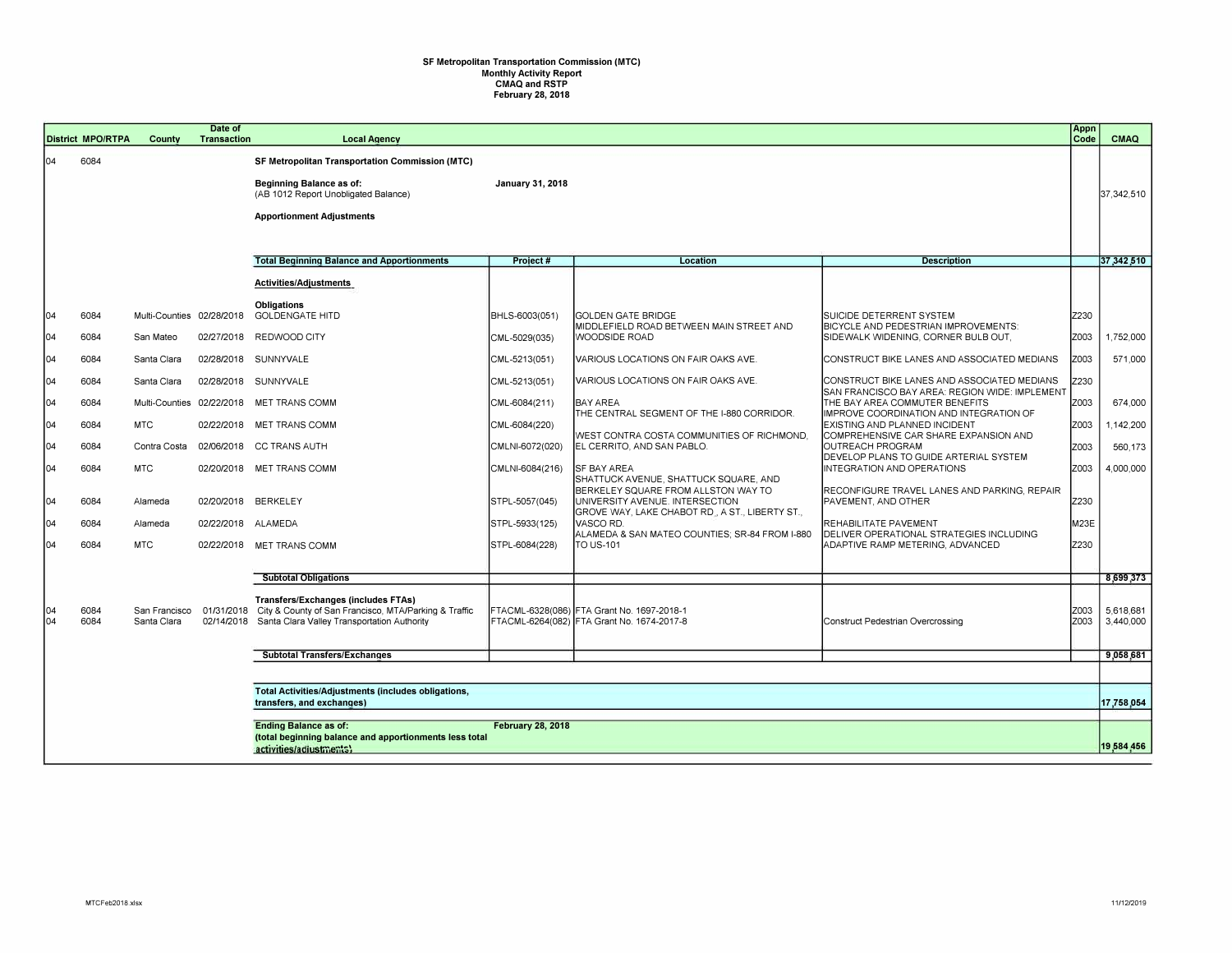## **SF Metropolitan Transportation Commission (MTC) Monthly Activity Report CMAQ and RSTP February 28, 2018**

|            | <b>District MPO/RTPA</b>                                                         | County                       | Date of<br><b>Transaction</b> | <b>Local Agency</b>                                                                                                                                                      |                         |                                                                                          |                                                                                  | Appn<br>Code | <b>CMAQ</b>            |
|------------|----------------------------------------------------------------------------------|------------------------------|-------------------------------|--------------------------------------------------------------------------------------------------------------------------------------------------------------------------|-------------------------|------------------------------------------------------------------------------------------|----------------------------------------------------------------------------------|--------------|------------------------|
| 104        | 6084                                                                             |                              |                               | <b>SF Metropolitan Transportation Commission (MTC)</b><br><b>Beginning Balance as of:</b><br>(AB 1012 Report Unobligated Balance)<br><b>Apportionment Adjustments</b>    | <b>January 31, 2018</b> |                                                                                          |                                                                                  |              | 37.342.510             |
|            |                                                                                  |                              |                               | <b>Total Beginning Balance and Apportionments</b>                                                                                                                        | Project#                | Location                                                                                 | <b>Description</b>                                                               |              | 37,342,510             |
|            |                                                                                  |                              |                               | Activities/Adjustments                                                                                                                                                   |                         |                                                                                          |                                                                                  |              |                        |
|            |                                                                                  |                              |                               | <b>Obligations</b>                                                                                                                                                       |                         |                                                                                          |                                                                                  |              |                        |
| 04         | 6084                                                                             | Multi-Counties 02/28/2018    |                               | <b>GOLDENGATE HITD</b>                                                                                                                                                   | BHLS-6003(051)          | <b>GOLDEN GATE BRIDGE</b><br>MIDDLEFIELD ROAD BETWEEN MAIN STREET AND                    | SUICIDE DETERRENT SYSTEM<br>BICYCLE AND PEDESTRIAN IMPROVEMENTS:                 | Z230         |                        |
| 104        | 6084                                                                             | San Mateo                    | 02/27/2018                    | REDWOOD CITY                                                                                                                                                             | CML-5029(035)           | WOODSIDE ROAD                                                                            | SIDEWALK WIDENING, CORNER BULB OUT,                                              | Z003         | 1,752,000              |
| 04         | 6084                                                                             | Santa Clara                  | 02/28/2018                    | SUNNYVALE                                                                                                                                                                | CML-5213(051)           | VARIOUS LOCATIONS ON FAIR OAKS AVE.                                                      | CONSTRUCT BIKE LANES AND ASSOCIATED MEDIANS                                      | Z003         | 571,000                |
| 04         | 6084                                                                             | Santa Clara                  | 02/28/2018                    | SUNNYVALE                                                                                                                                                                | CML-5213(051)           | VARIOUS LOCATIONS ON FAIR OAKS AVE.                                                      | CONSTRUCT BIKE LANES AND ASSOCIATED MEDIANS                                      | Z230         |                        |
| 04         | 6084                                                                             | Multi-Counties               | 02/22/2018                    | <b>MET TRANS COMM</b>                                                                                                                                                    | CML-6084(211)           | <b>BAY AREA</b>                                                                          | SAN FRANCISCO BAY AREA: REGION WIDE: IMPLEMENT<br>THE BAY AREA COMMUTER BENEFITS | Z003         | 674,000                |
| 04         | 6084                                                                             | <b>MTC</b>                   | 02/22/2018                    | <b>MET TRANS COMM</b>                                                                                                                                                    | CML-6084(220)           | THE CENTRAL SEGMENT OF THE I-880 CORRIDOR.                                               | IMPROVE COORDINATION AND INTEGRATION OF<br>EXISTING AND PLANNED INCIDENT         | Z003         | 1,142,200              |
| 04         | 6084                                                                             | Contra Costa                 | 02/06/2018                    | <b>CC TRANS AUTH</b>                                                                                                                                                     | CMLNI-6072(020)         | WEST CONTRA COSTA COMMUNITIES OF RICHMOND.<br>EL CERRITO. AND SAN PABLO.                 | COMPREHENSIVE CAR SHARE EXPANSION AND<br>IOUTREACH PROGRAM                       | Z003         | 560,173                |
| 104        | 6084                                                                             | <b>MTC</b>                   |                               | 02/20/2018 MET TRANS COMM                                                                                                                                                | CMLNI-6084(216)         | SF BAY AREA                                                                              | DEVELOP PLANS TO GUIDE ARTERIAL SYSTEM<br>INTEGRATION AND OPERATIONS             | Z003         | 4,000,000              |
|            |                                                                                  |                              |                               |                                                                                                                                                                          |                         | SHATTUCK AVENUE, SHATTUCK SQUARE, AND<br>BERKELEY SQUARE FROM ALLSTON WAY TO             | RECONFIGURE TRAVEL LANES AND PARKING, REPAIR                                     |              |                        |
| 04         | 6084                                                                             | Alameda                      | 02/20/2018                    | <b>BERKELEY</b>                                                                                                                                                          | STPL-5057(045)          | UNIVERSITY AVENUE. INTERSECTION<br>GROVE WAY, LAKE CHABOT RD., A ST., LIBERTY ST.,       | PAVEMENT, AND OTHER                                                              | Z230         |                        |
| 04         | 6084                                                                             | Alameda                      | 02/22/2018                    | ALAMEDA                                                                                                                                                                  | STPL-5933(125)          | VASCO RD.<br>ALAMEDA & SAN MATEO COUNTIES; SR-84 FROM I-880                              | <b>REHABILITATE PAVEMENT</b><br><b>DELIVER OPERATIONAL STRATEGIES INCLUDING</b>  | M23E         |                        |
| 104        | 6084                                                                             | <b>MTC</b>                   | 02/22/2018                    | <b>MET TRANS COMM</b>                                                                                                                                                    | STPL-6084(228)          | TO US-101                                                                                | ADAPTIVE RAMP METERING, ADVANCED                                                 | Z230         |                        |
|            |                                                                                  |                              |                               |                                                                                                                                                                          |                         |                                                                                          |                                                                                  |              |                        |
|            |                                                                                  |                              |                               | <b>Subtotal Obligations</b>                                                                                                                                              |                         |                                                                                          |                                                                                  |              | 8,699,373              |
| 104<br>104 | 6084<br>6084                                                                     | San Francisco<br>Santa Clara |                               | <b>Transfers/Exchanges (includes FTAs)</b><br>01/31/2018 City & County of San Francisco, MTA/Parking & Traffic<br>02/14/2018 Santa Clara Valley Transportation Authority |                         | FTACML-6328(086) FTA Grant No. 1697-2018-1<br>FTACML-6264(082) FTA Grant No. 1674-2017-8 | Construct Pedestrian Overcrossing                                                | Z003<br>Z003 | 5,618,681<br>3.440.000 |
|            |                                                                                  |                              |                               | <b>Subtotal Transfers/Exchanges</b>                                                                                                                                      |                         |                                                                                          |                                                                                  |              | 9,058,681              |
|            |                                                                                  |                              |                               |                                                                                                                                                                          |                         |                                                                                          |                                                                                  |              |                        |
|            | Total Activities/Adjustments (includes obligations,<br>transfers, and exchanges) |                              |                               |                                                                                                                                                                          |                         |                                                                                          |                                                                                  |              | 17,758,054             |
|            | <b>Ending Balance as of:</b><br><b>February 28, 2018</b>                         |                              |                               |                                                                                                                                                                          |                         |                                                                                          |                                                                                  |              |                        |
|            |                                                                                  |                              |                               | (total beginning balance and apportionments less total<br>activities/adiustments)                                                                                        |                         |                                                                                          |                                                                                  |              | 19,584,456             |
|            |                                                                                  |                              |                               |                                                                                                                                                                          |                         |                                                                                          |                                                                                  |              |                        |